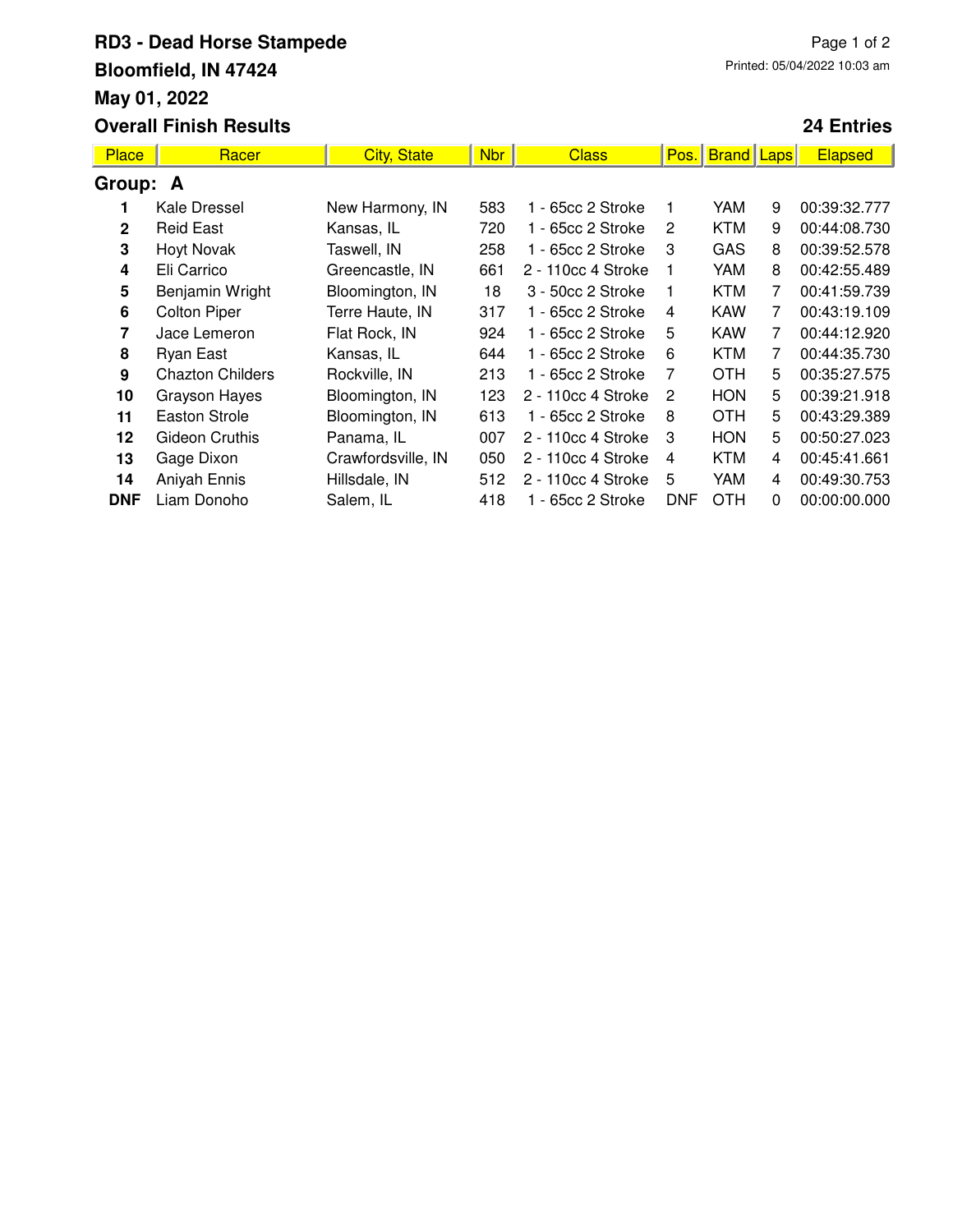## **RD3 - Dead Horse Stampede Bloomfield, IN 47424 May 01, 2022 Overall Finish Results**

## **24 Entries**

| <b>Place</b> | Racer                   | <b>City, State</b> | <b>Nbr</b> | <b>Class</b>       | Pos.           | <b>Brand</b> | Laps | Elapsed      |  |  |
|--------------|-------------------------|--------------------|------------|--------------------|----------------|--------------|------|--------------|--|--|
| Group: A     |                         |                    |            |                    |                |              |      |              |  |  |
|              | Kale Dressel            | New Harmony, IN    | 583        | 1 - 65cc 2 Stroke  |                | YAM          | 9    | 00:39:32.777 |  |  |
| $\mathbf{2}$ | <b>Reid East</b>        | Kansas, IL         | 720        | 1 - 65cc 2 Stroke  | 2              | KTM          | 9    | 00:44:08.730 |  |  |
| 3            | <b>Hoyt Novak</b>       | Taswell, IN        | 258        | 1 - 65cc 2 Stroke  | 3              | <b>GAS</b>   | 8    | 00:39:52.578 |  |  |
| 4            | Eli Carrico             | Greencastle, IN    | 661        | 2 - 110cc 4 Stroke | 1              | YAM          | 8    | 00:42:55.489 |  |  |
| 5            | Benjamin Wright         | Bloomington, IN    | 18         | 3 - 50cc 2 Stroke  | 1              | <b>KTM</b>   | 7    | 00:41:59.739 |  |  |
| 6            | <b>Colton Piper</b>     | Terre Haute, IN    | 317        | 1 - 65cc 2 Stroke  | 4              | <b>KAW</b>   | 7    | 00:43:19.109 |  |  |
| 7            | Jace Lemeron            | Flat Rock, IN      | 924        | 1 - 65cc 2 Stroke  | 5              | <b>KAW</b>   | 7    | 00:44:12.920 |  |  |
| 8            | Ryan East               | Kansas, IL         | 644        | 1 - 65cc 2 Stroke  | 6              | <b>KTM</b>   | 7    | 00:44:35.730 |  |  |
| 9            | <b>Chazton Childers</b> | Rockville, IN      | 213        | 1 - 65cc 2 Stroke  | 7              | <b>OTH</b>   | 5    | 00:35:27.575 |  |  |
| 10           | Grayson Hayes           | Bloomington, IN    | 123        | 2 - 110cc 4 Stroke | 2              | <b>HON</b>   | 5    | 00:39:21.918 |  |  |
| 11           | Easton Strole           | Bloomington, IN    | 613        | 1 - 65cc 2 Stroke  | 8              | <b>OTH</b>   | 5    | 00:43:29.389 |  |  |
| 12           | Gideon Cruthis          | Panama, IL         | 007        | 2 - 110cc 4 Stroke | 3              | <b>HON</b>   | 5    | 00:50:27.023 |  |  |
| 13           | Gage Dixon              | Crawfordsville, IN | 050        | 2 - 110cc 4 Stroke | $\overline{4}$ | <b>KTM</b>   | 4    | 00:45:41.661 |  |  |
| 14           | Aniyah Ennis            | Hillsdale, IN      | 512        | 2 - 110cc 4 Stroke | 5              | YAM          | 4    | 00:49:30.753 |  |  |
| <b>DNF</b>   | Liam Donoho             | Salem, IL          | 418        | 1 - 65cc 2 Stroke  | <b>DNF</b>     | <b>OTH</b>   | 0    | 00:00:00.000 |  |  |